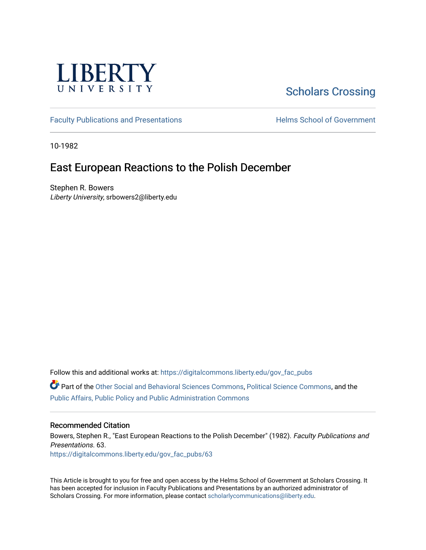

# [Scholars Crossing](https://digitalcommons.liberty.edu/)

[Faculty Publications and Presentations](https://digitalcommons.liberty.edu/gov_fac_pubs) **Exercise School of Government** 

10-1982

## East European Reactions to the Polish December

Stephen R. Bowers Liberty University, srbowers2@liberty.edu

Follow this and additional works at: [https://digitalcommons.liberty.edu/gov\\_fac\\_pubs](https://digitalcommons.liberty.edu/gov_fac_pubs?utm_source=digitalcommons.liberty.edu%2Fgov_fac_pubs%2F63&utm_medium=PDF&utm_campaign=PDFCoverPages)

Part of the [Other Social and Behavioral Sciences Commons](http://network.bepress.com/hgg/discipline/437?utm_source=digitalcommons.liberty.edu%2Fgov_fac_pubs%2F63&utm_medium=PDF&utm_campaign=PDFCoverPages), [Political Science Commons](http://network.bepress.com/hgg/discipline/386?utm_source=digitalcommons.liberty.edu%2Fgov_fac_pubs%2F63&utm_medium=PDF&utm_campaign=PDFCoverPages), and the [Public Affairs, Public Policy and Public Administration Commons](http://network.bepress.com/hgg/discipline/393?utm_source=digitalcommons.liberty.edu%2Fgov_fac_pubs%2F63&utm_medium=PDF&utm_campaign=PDFCoverPages)

## Recommended Citation

Bowers, Stephen R., "East European Reactions to the Polish December" (1982). Faculty Publications and Presentations. 63. [https://digitalcommons.liberty.edu/gov\\_fac\\_pubs/63](https://digitalcommons.liberty.edu/gov_fac_pubs/63?utm_source=digitalcommons.liberty.edu%2Fgov_fac_pubs%2F63&utm_medium=PDF&utm_campaign=PDFCoverPages) 

This Article is brought to you for free and open access by the Helms School of Government at Scholars Crossing. It has been accepted for inclusion in Faculty Publications and Presentations by an authorized administrator of Scholars Crossing. For more information, please contact [scholarlycommunications@liberty.edu.](mailto:scholarlycommunications@liberty.edu)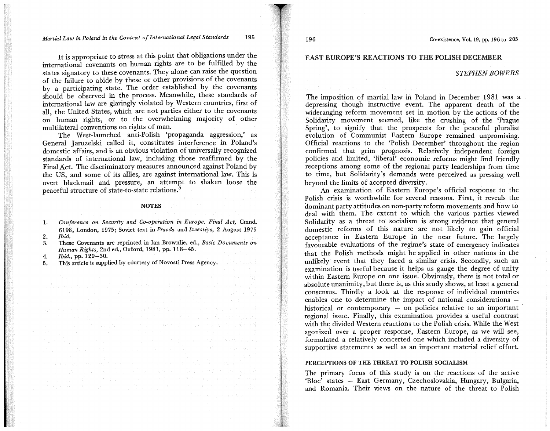### *Martial Law in Poland in the Context of International Legal Standards* 195

It is appropriate to stress at this point that obligations under the international covenants on human nghts are to be fulfilled by the states signatory to these covenants. They alone can raise the question of the failure to abide by these or other provisions of the covenants by a participating state. The order established by the covenants should be observed in the process. Meanwhile, these standards of international law are glaringly violated by Western countries, first of all, the United States, which are not parties either to the covenants on human rights, or to the overwhelming majority of other multilateral conventions on rights of man.

The West-launched anti-Polish 'propaganda aggression,' as General Jaruzelski called it, constitutes interference in Poland's domestic affairs, and is an obvious violation of universally recognized standards of international law, including those reaffirmed by the Final Act. The discriminatory measures announced against Poland by the US, and some of its allies, are against international law. This is overt blackmail and pressure, an attempt to shaken loose the peaceful structure of state-to-state relations.

### NOTES

- 1. *Conference on Security and Co-operation in Europe. Final Act,* Cmnd. 6198, London, 1975; Soviet text in *Pravda* and *Izvestiya,* 2 August 1975 *2. Ibid.*
- 3. These Covenants are reprinted in Ian .Brownlie, ed., *Basic Documents on Human Rights,* 2nd ed., Oxford, 1981, pp. 118-45.

and the projection of the Region of the control of the control of the

an de la ciudad de la ciudad de la ciudad de la forma de la ciudad de la ciudad de la ciudad de la ciudad de<br>1942: Algunda de la ciudad de la ciudad de la ciudad de la ciudad de la ciudad de la ciudad de la ciudad de l<br>194

and the proof for the angle of the control of the set of the angle and the second control of the political stage and control of the control of the stage of the control of the stage of the stage of the stage of the stage of the stage of the stage of the stage of the stage of the stage of t

- *4. Ibid.,* pp\_ 129-30.
- 5. This article is supplied by courtesy of Novosti Press Agency.

EAST EUROPE'S REACTIONS TO THE POLISH DECEMBER

### *STEPHEN BOWERS*

The imposition of martial law in Poland in December 1981 was a depressing though instructive event. The apparent death of the wideranging reform movement set in motion by the actions of the Solidarity movement seemed, like the crushing of the 'Prague Spring', to signify that the prospects for the peaceful pluralist evolution of Communist Eastern Europe remained unpromising. Official reactions to the 'Polish December' throughout the region confirmed that grim prognosis. Relatively independent foreign policies and limited, 'liberal' economic reforms might find friendly receptions among some of the regional party leaderships from time to time, but Solidarity's demands were perceived as pressing well beyond the limits of accepted diversity.

An examination of Eastern Europe's official response to the Polish crisis is worthwhile for several reasons. First, it reveals the dominant party attitudes on non-party reform movements and how to deal with them. The extent to which the various parties viewed Solidarity as a threat to socialism is strong evidence that general domestic reforms of this nature are not likely to gain official acceptance in Eastern Europe in the near future. The largely favourable evaluations of the regime's state of emergency indicates that the Polish methods might be applied in other nations in the unlikely event that they faced a similar crisis. Secondly, such an examination is useful because it helps us gauge the degree of unity within Eastern Europe on one issue. Obviously, there is not total or absolute unanimity, but there is, as this study shows, at least a general consensus. Thirdly a look at the response of individual countries enables one to determine the impact of national considerations historical or contemporary  $-$  on policies relative to an important regional issue. Finally, this examination provides a useful contrast with the divided Western reactions to the Polish crisis. While the West agonized over a proper response, Eastern Europe, as we will see, formulated a relatively concerted one which included a diversity of supportive statements as well as an important material relief effort.

### PERCEPTIONS OF THE THREAT TO POLISH SOCIALISM

The primary focus of this study is on the reactions of the active 'Bloc' states - East Germany, Czechoslovakia, Hungary, Bulgaria, and Romania. Their views on the nature of the threat to Polish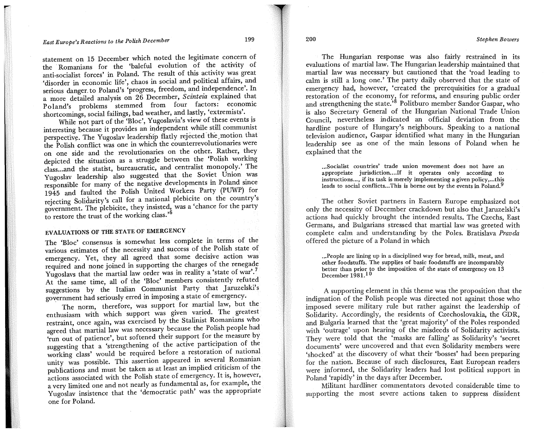statement on 15 December which noted the legitimate concern of the Romanians for the 'baleful evolution of the activity of anti-socialist forces' in Poland. The result of this activity was great 'disorder in economic life', chaos in social and political affairs, and serious danger to Poland's 'progress, freedom, and independence'. In a more detailed analysis on 26 December, *Scinteia* explained that Poland's problems stemmed from four factors: economic shortcomings, social failings, bad weather, and lastly, 'extremists'.

While not part of the 'Bloc', Yugoslavia's view of these events is interesting because it provides an independent while still communist perspective. The Yugoslav leadership flatly rejected the motion that the Polish conflict was one in which the counterrevolutionaries were on one side and the revolutionaries on the other. Rather, they depicted the situation as a struggle between the 'Polish working class ... and the statist, bureaucratic, and centralist monopoly.' The Yugoslav leadership also suggested that the Soviet Union was responsible for many of the negative developments in Poland since 1945 and faulted the Polish United Workers Party (PUWP) for rejecting Solidarity's call for a national plebicite on the country's government. The plebicite, they insisted, was a 'chance for the party to restore the trust of the working class.'<sup>6</sup>

## EVALUATIONS OF THE STATE OF EMERGENCY

The 'Bloc' consensus is somewhat less complete in terms of the various estimates of the necessity and success of the Polish state of emergency. Yet, they all agreed that some decisive action was required and none joined in supporting the charges of the renegade various estimates of the necessity and success of the Polish state of<br>emergency. Yet, they all agreed that some decisive action was<br>required and none joined in supporting the charges of the renegade<br>Yugoslavs that the mart Yugoslavs that the martial law order was in reality a 'state of war'.<sup>7</sup> At the same time, all of the 'Bloc' members consistently refuted suggestions by the Italian Communist Party that Jaruzelski's government had seriously erred in imposing a state of emergency.

The norm, therefore, was support for martial law, but the enthusiasm with which support was given varied. The greatest restraint, once again, was exercised by the Stalinist Romanians who agreed that martial law was necessary because the Polish people had 'run out of patience', but softened their support for the measure by suggesting that a 'strengthening of the active participation of the working class' would be required before a restoration of national unity was possible. This assertion appeared in several Romanian publications and must be taken as at least an implied criticism of the actions associated with the Polish state of emergency. It is, however, a very limited one and not nearly as fundamental as, for example, the Yugoslav insistence that the 'democratic path' was the appropriate one for Poland.

The Hungarian response was also fairly restrained in its evaluations of martial law. The Hungarian leadership maintained that martial law was necessary but cautioned that the 'road leading to calm is still a long one.' The party daily observed that the state of emergency had, however, 'created the prerequisities for a gradual restoration of the economy, for reforms, and ensuring public order restoration of the economy, for reforms, and ensuring public order<br>and strengthening the state.'<sup>8</sup> Politburo member Sandor Gaspar, who is also Secretary General of the Hungarian National Trade Union Council, nevertheless indicated an official deviation from the hardline posture of Hungary's neighbours. Speaking to a national television audience, Gaspar identified what many in the Hungarian leadership see as one of the main lessons of Poland when he explained that the

... Socialist countries' trade union movement does not have an appropriate jurisdiction.... If it operates only according to instructions..., if its task is merely implementing a given policy,...this leads to social conflicts...This is borne out by the events in Poland.<sup>9</sup>

The other Soviet partners in Eastern Europe emphasized not only the necessity of December crackdown but also that Jaruzelski's actions had quickly brought the intended results. The Czechs, East Germans, and Bulgarians stressed that martial law was greeted with complete calm and understanding by the Poles. Bratislava *Pravda*  offered the picture of a Poland in which

... People are lining up in a disciplined way for bread, milk, meat, and other foodstuffs. The supplies of basic foodstuffs are incomparably better than prior to the imposition of the state of emergency on 13 December 1981.10

A supporting element in this theme was the proposition that the indignation of the Polish people was directed not against those who imposed severe military rule but rather against the leadership of Solidarity. Accordingly, the residents of Czechoslovakia, the GDR, and Bulgaria learned that the 'great majority' of the Poles responded with 'outrage' upon hearing of the misdeeds of Solidarity activists. They were told that the 'masks are falling' as Solidarity's 'secret documents' were uncovered and that even Solidarity members were 'shocked' at the discovery of what their 'bosses' had been preparing for the nation. Because of such disclosures, East European readers were informed, the Solidarity leaders had lost political support in Poland 'rapidly' in the days after December.

Militant hardliner commentators devoted considerable time to supporting the most severe actions taken to suppress dissident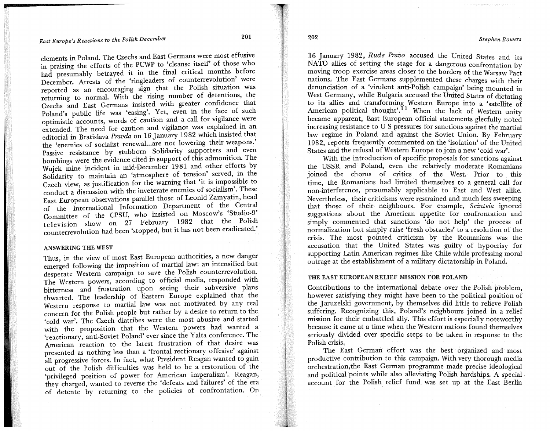## *East Europe's Reactions to the Polish December* <sup>201</sup>

>

elements in Poland. The Czechs and East Germans were most effusive in praising the efforts of the PUWP to 'cleanse itself' of those who had presumably betrayed it in the final critical months before December. Arrests of the 'ringleaders of counterrevolution' were reported as an encouraging sign that the Polish situation was returning to normal. With the rising number of detentions, the Czechs and East Germans insisted with greater confidence that Poland's public life was 'easing'. Yet, even in the face of such optimistic accounts, words of caution and a call for vigilance were extended. The need for caution and vigilance was explamed m an editorial in Bratislava *Pravda* on 16'January 1982 which insisted that the 'enemies of socialist renewal ... are not lowering their weapons.' Passive resistance by stubborn Solidarity supporters and even bombings were the evidence cited in support of this admonition. The Wujek mine incident in mid-December 1981 and other efforts by Solidarity to maintain an 'atmosphere of tension' served, in the Czech view, as justification for the warning that 'it is impossible to conduct a discussion with the inveterate enemies of socialism'. These East European observations parallel those of Leonid Zamyatin, head of the International Information Department of the Central Committee of the CPSU, who insisted on Moscow's 'Studio-9' television show on 27 February 1982 that the Polish counterrevolution had been 'stopped, but it has not been eradicated.'

#### ANSWERING THE WEST

Thus, in the view of most East European authorities, a new danger emerged following the imposition of martial law: an intensified but desperate Western campaign to save the Polish counterrevolution. The Western powers, according to official media, responded with bitterness and frustration upon seeing their subversive plans thwarted. The leadership of Eastern Europe explained that the Western response to martial law was not motivated by any real concern for the Polish people but rather by a desire to return to the 'cold war'. The Czech diatribes were the most abusive and started with the proposition that the Western powers had wanted a 'reactionary, anti-Soviet Poland' ever since the Yalta conference. The American reaction to the latest frustration of that desire was presented as nothing less than a 'frontal rectionary offesive' against all progressive forces. In fact, what President Reagan wanted to gain out of the Polish difficulties was held to be a restoration of the 'privileged position of power for American imperalism'. Reagan, they charged, wanted to reverse the 'defeats and failures' of the era of detente by returning to the policies of confrontation. On

16 January 1982, *Rude Pravo* accused the United States and its NATO allies of setting the stage for a dangerous confrontation by moving troop exercise areas closer to the borders of the Warsaw Pact nations. The East Germans supplemented these charges with their denunciation of a 'virulent anti-Polish campaign' being mounted in West Germany, while Bulgaria accused the United States of dictating to its allies and transforming Western Europe into a 'satellite of American political thought'. If When the lack of Western unity became apparent, East European official statements gleefully noted increasing resistance to U S pressures for sanctions against the martial law regime in Poland and against the Soviet Union. By February 1982, reports frequently commented on the 'isolation' of the United States and the refusal of Western Europe to join a new 'cold war'.

With the introduction of specific proposals for sanctions against the USSR and Poland, even the relatively moderate Romanians joined the chorus of critics of the West. Prior to this time, the Romanians had limited themselves to a general call for non-interference, presumably applicable to East and West alike. Nevertheless, their criticisms were restrained and much less sweeping that those of their neighbours. For example, *Scinteia* ignored suggestions about the American appetite for confrontation and simply commented that sanctions 'do not help' the process of normalization but simply raise 'fresh obstacles' to a resolution of the crisis. The most pointed criticism by the Romanians was the accusation that the United States was guilty of hypocrisy for supporting Latin American regimes like Chile while professing moral outrage at the establishment of a military dictatorship in Poland.

### THE EAST EUROPEAN RELIEF MISSION FOR POLAND

Contributions to the international debate over the Polish problem, however satisfying they might have been to the political position of the Jaruzelski government, by themselves did little to relieve Polish suffering. Recognizing this, Poland's neighbours joined in a relief mission for their embattled ally. This effort is especially noteworthy because it came at a time when the Western nations found themselves seriously divided over specific steps to be taken in response to the Polish crisis.

The East German effort was the best organized and most productive contribution to this campaign. With very thorough media orchestration, the East German programme made precise ideological and political points while also alleviating Polish hardships. A special account for the Polish relief fund was set up at the East Berlin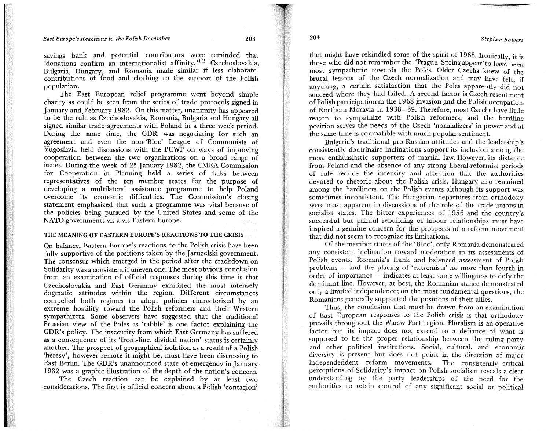savings bank and potential contributors were reminded that 'donations confirm an internationalist affinity.'<sup>12</sup> Czechoslovakia, Bulgaria, Hungary, and Romania made similar if less elaborate contributions of food and clothing to the support of the Polish population.

The East European relief programme went beyond simple charity as could be seen from the series of trade protocols signed in January and.February 1982. On this matter, unanimity has appeared to be the rule as Czechoslovakia, Romania, Bulgaria and Hungary all signed similar trade agreements with Poland in a three week period. During the same time, the GDR was negotiating for such an agreement and even the non-'Bloc' League of Communists of Yugoslavia held discussions with the PUWP on ways of improving cooperation between the two organizations on a broad range of issues. During the week of 25 January 1982, the CMEA Commission for Cooperation in Planning held a series of talks between representatives of the ten member states for the purpose of developing a multilateral assistance programme to help Poland overcome its economic difficulties. The Commission's closing statement emphasized that such a programme was vital because of the policies being pursued by the United States and some of the NATO governments vis-a-vis Eastern Europe.

### THE MEANING OF EASTERN EUROPE'S REACTIONS TO THE CRISIS

On balance, Eastern Europe's reactions to the Polish crisis have been fully supportive of the positions taken by the Jaruzelski government. The consensus which emerged in the period after the crackdown on Solidarity was a consistent if uneven one. The most obvious conclusion from an examination of official responses during this time is that Czechoslovakia and East Germany exhibited the most intensely dogmatic attitudes within the region. Different circumstances compelled both regimes to adopt policies characterized by an extreme hostility toward the Polish reformers and their Western sympathizers. Some observers have suggested that the traditional Prussian view of the Poles as 'rabble' is one factor explaining the GDR's policy. The insecurity from which East Germany has suffered as a consequence of its 'front-line, divided nation' status is certainly another. The prospect of geographical isolation as a result of a Polish. 'heresy', however remote it might be, must have been distressing to East Berlin. The GDR's unannounced state of emergency in January 1982 was a graphic illustration of the depth of the nation's concern.

The Czech reaction can be explained by at least two ,considerations. The first is official concern about a Polish 'contagion'

204 *Stephen Bowers* 

that might have rekindled some of the spirit of 1968. Ironically, it is those who did not remember the 'Prague Spring appear'to have been most sympathetic towards the Poles. Older Czechs knew of the brutal lessons of the Czech normalization and may have felt, if anything, a certain satisfaction that the Poles apparently did not succeed where they had failed. A second factor is Czech resentment of Polish participation in the 1968 invasion and the Polish occupation. of Northern Moravia in 1938-39. Therefore, most Czechs have little reason to sympathize with Polish reformers, and the hardline position serves the needs of the Czech 'normalizers' in power and at the same time is compatible with much popular sentiment.

Bulgaria's traditional pro-Russian attitudes and the leadership's consistently doctrinaire inclinations support its inclusion among the most enthuasiastic supporters of martial law. However, its distance from Poland and the absence of any strong liberal-reformist periods of rule reduce the intensity and attention that the authorities devoted to rhetoric about the Polish crisis. Hungary also remained among the hardliners on the Polish events although its support was sometimes inconsistent. The Hungarian departures from orthodoxy were most apparent in discussions of the role of the trade unions in socialist states. The bitter experiences of 1956 and the country's successful but painful rebuilding of labour relationships must have inspired a genuine concern for the prospects of a reform movement that did not seem to recognize its limitations.

Of the member states of the 'Bloc', only Romania demonstrated any consistent inclination toward moderation in its assessments of Polish events. Romania's frank and balanced assessment of Polish problems - and the placing of 'extremists' no more than fourth in  $\alpha$  order of importance  $-$  indicates at least some willingness to defy the dominant line. However, at best, the Romanian stance demonstrated only a limited independence; on the most fundamental questions, the Romanians generally supported the positions of their allies.

Thus, the conclusion that must be drawn from an examination of East European responses to the Polish crisis is that orthodoxy prevails throughout the Warsw Pact region. Pluralism is an operative factor but its impact does not extend to a defiance of what is supposed to be the proper relationship between the ruling party and other political institutions. Social, cultural, and economic diversity is present but does not point in the direction of major independendent reform movements. The consistently critical perceptions of Solidarity's impact on Polish socialism reveals a clear understanding by the party leaderships of the need for the authorities to retain control of any significant social or political